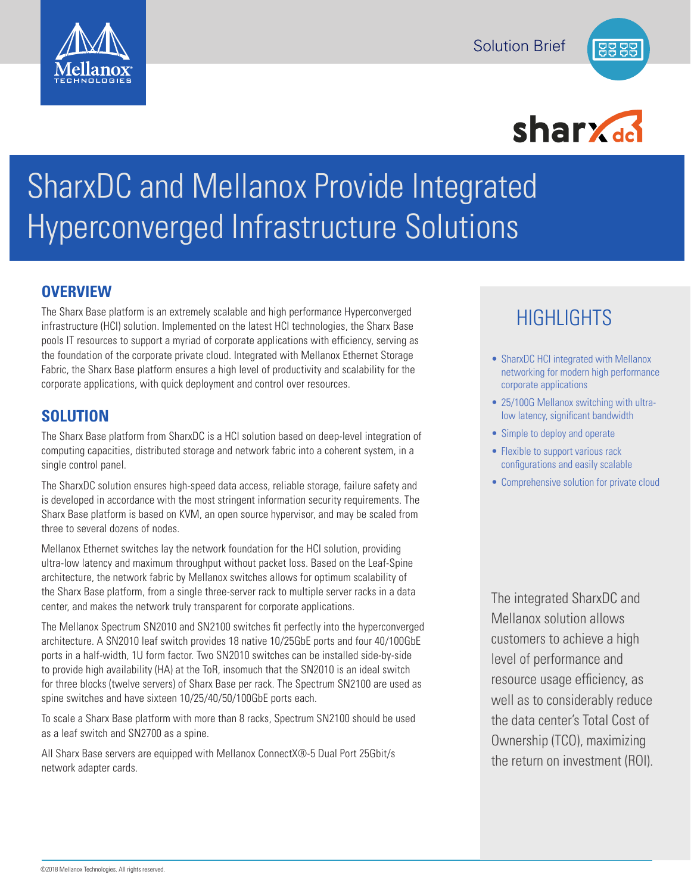





# SharxDC and Mellanox Provide Integrated Hyperconverged Infrastructure Solutions

### **OVERVIEW**

The Sharx Base platform is an extremely scalable and high performance Hyperconverged infrastructure (HCI) solution. Implemented on the latest HCI technologies, the Sharx Base pools IT resources to support a myriad of corporate applications with efficiency, serving as the foundation of the corporate private cloud. Integrated with Mellanox Ethernet Storage Fabric, the Sharx Base platform ensures a high level of productivity and scalability for the corporate applications, with quick deployment and control over resources.

## **SOLUTION**

The Sharx Base platform from SharxDC is a HCI solution based on deep-level integration of computing capacities, distributed storage and network fabric into a coherent system, in a single control panel.

The SharxDC solution ensures high-speed data access, reliable storage, failure safety and is developed in accordance with the most stringent information security requirements. The Sharx Base platform is based on KVM, an open source hypervisor, and may be scaled from three to several dozens of nodes.

Mellanox Ethernet switches lay the network foundation for the HCI solution, providing ultra-low latency and maximum throughput without packet loss. Based on the Leaf-Spine architecture, the network fabric by Mellanox switches allows for optimum scalability of the Sharx Base platform, from a single three-server rack to multiple server racks in a data center, and makes the network truly transparent for corporate applications.

The Mellanox Spectrum SN2010 and SN2100 switches fit perfectly into the hyperconverged architecture. A SN2010 leaf switch provides 18 native 10/25GbE ports and four 40/100GbE ports in a half-width, 1U form factor. Two SN2010 switches can be installed side-by-side to provide high availability (HA) at the ToR, insomuch that the SN2010 is an ideal switch for three blocks (twelve servers) of Sharx Base per rack. The Spectrum SN2100 are used as spine switches and have sixteen 10/25/40/50/100GbE ports each.

To scale a Sharx Base platform with more than 8 racks, Spectrum SN2100 should be used as a leaf switch and SN2700 as a spine.

All Sharx Base servers are equipped with Mellanox ConnectX®-5 Dual Port 25Gbit/s network adapter cards.

# HIGHLIGHTS

- SharxDC HCI integrated with Mellanox networking for modern high performance corporate applications
- 25/100G Mellanox switching with ultralow latency, significant bandwidth
- Simple to deploy and operate
- Flexible to support various rack configurations and easily scalable
- Comprehensive solution for private cloud

The integrated SharxDC and Mellanox solution allows customers to achieve a high level of performance and resource usage efficiency, as well as to considerably reduce the data center's Total Cost of Ownership (TCO), maximizing the return on investment (ROI).